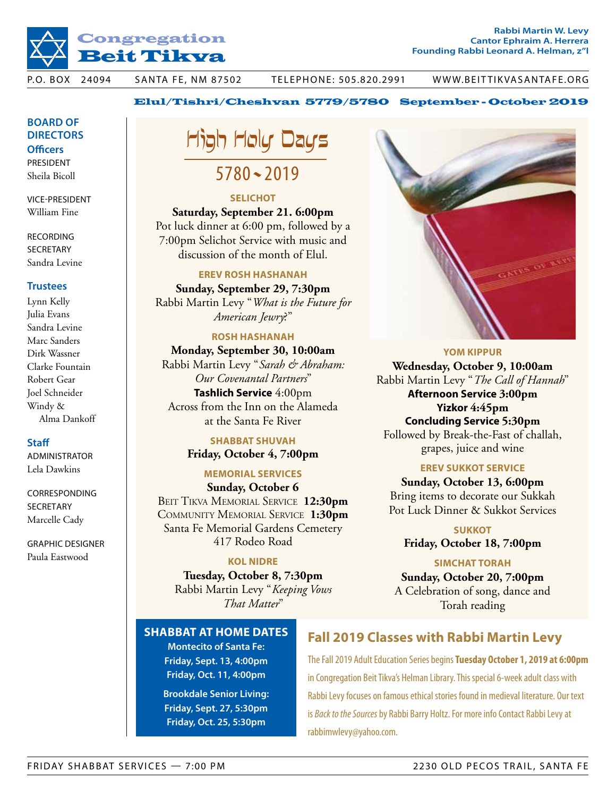

### Elul/Tishri/Cheshvan 5779/5780 September - October 2019

### **Board of Directors Officers**

President Sheila Bicoll

vice-President William Fine

**RECORDING SECRETARY** Sandra Levine

### **Trustees**

Lynn Kelly Julia Evans Sandra Levine Marc Sanders Dirk Wassner Clarke Fountain Robert Gear Joel Schneider Windy & Alma Dankoff

### **Staff**

administrator Lela Dawkins

**CORRESPONDING** SECRETARY Marcelle Cady

GRAPHIC designer Paula Eastwood

## High Holy Days 5780~2019

### **Selichot**

**Saturday, September 21. 6:00pm** Pot luck dinner at 6:00 pm, followed by a 7:00pm Selichot Service with music and discussion of the month of Elul.

### **Erev Rosh Hashanah**

**Sunday, September 29, 7:30pm** Rabbi Martin Levy "*What is the Future for American Jewry*?"

### **Rosh Hashanah**

**Monday, September 30, 10:00am** Rabbi Martin Levy "*Sarah & Abraham: Our Covenantal Partners*" **Tashlich Service** 4:00pm Across from the Inn on the Alameda at the Santa Fe River

### **Shabbat Shuvah**

**Friday, October 4, 7:00pm**

### **Memorial Services Sunday, October 6**

BEIT TIKVA MEMORIAL SERVICE 12:30pm Community Memorial Service **1:30pm** Santa Fe Memorial Gardens Cemetery 417 Rodeo Road

### **Kol Nidre**

**Tuesday, October 8, 7:30pm** Rabbi Martin Levy "*Keeping Vows That Matter*"



#### **Yom Kippur**

**Wednesday, October 9, 10:00am** Rabbi Martin Levy "*The Call of Hannah*" **Afternoon Service 3:00pm Yizkor 4:45pm Concluding Service 5:30pm** Followed by Break-the-Fast of challah, grapes, juice and wine

### **Erev Sukkot SERVICE**

**Sunday, October 13, 6:00pm** Bring items to decorate our Sukkah Pot Luck Dinner & Sukkot Services

### **Sukkot**

**Friday, October 18, 7:00pm**

### **Simchat Torah**

**Sunday, October 20, 7:00pm** A Celebration of song, dance and Torah reading

### **Shabbat at Home DATES**

**Montecito of Santa Fe: Friday, Sept. 13, 4:00pm Friday, Oct. 11, 4:00pm**

**Brookdale Senior Living: Friday, Sept. 27, 5:30pm Friday, Oct. 25, 5:30pm**

### **Fall 2019 Classes with Rabbi Martin Levy**

The Fall 2019 Adult Education Series begins **Tuesday October 1, 2019 at 6:00pm**  in Congregation Beit Tikva's Helman Library. This special 6-week adult class with Rabbi Levy focuses on famous ethical stories found in medieval literature. Our text is *Back to the Sources* by Rabbi Barry Holtz. For more info Contact Rabbi Levy at rabbimwlevy@yahoo.com.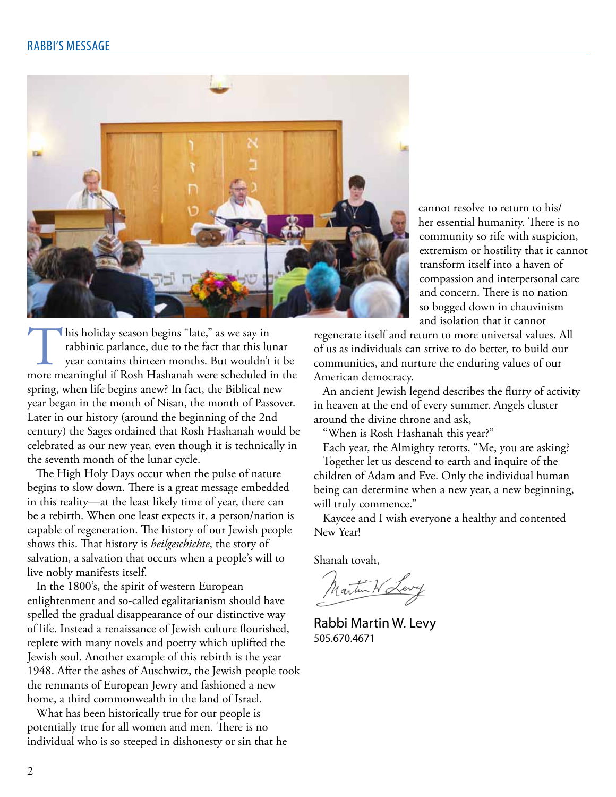

cannot resolve to return to his/ her essential humanity. There is no community so rife with suspicion, extremism or hostility that it cannot transform itself into a haven of compassion and interpersonal care and concern. There is no nation so bogged down in chauvinism and isolation that it cannot

I his holiday season begins "late," as we say in rabbinic parlance, due to the fact that this lunar year contains thirteen months. But wouldn't it be more meaningful if Rosh Hashanah were scheduled in the spring, when life begins anew? In fact, the Biblical new year began in the month of Nisan, the month of Passover. Later in our history (around the beginning of the 2nd century) the Sages ordained that Rosh Hashanah would be celebrated as our new year, even though it is technically in the seventh month of the lunar cycle.

The High Holy Days occur when the pulse of nature begins to slow down. There is a great message embedded in this reality—at the least likely time of year, there can be a rebirth. When one least expects it, a person/nation is capable of regeneration. The history of our Jewish people shows this. That history is *heilgeschichte*, the story of salvation, a salvation that occurs when a people's will to live nobly manifests itself.

In the 1800's, the spirit of western European enlightenment and so-called egalitarianism should have spelled the gradual disappearance of our distinctive way of life. Instead a renaissance of Jewish culture flourished, replete with many novels and poetry which uplifted the Jewish soul. Another example of this rebirth is the year 1948. After the ashes of Auschwitz, the Jewish people took the remnants of European Jewry and fashioned a new home, a third commonwealth in the land of Israel.

What has been historically true for our people is potentially true for all women and men. There is no individual who is so steeped in dishonesty or sin that he

regenerate itself and return to more universal values. All of us as individuals can strive to do better, to build our communities, and nurture the enduring values of our American democracy.

An ancient Jewish legend describes the flurry of activity in heaven at the end of every summer. Angels cluster around the divine throne and ask,

"When is Rosh Hashanah this year?"

Each year, the Almighty retorts, "Me, you are asking? Together let us descend to earth and inquire of the children of Adam and Eve. Only the individual human being can determine when a new year, a new beginning, will truly commence."

Kaycee and I wish everyone a healthy and contented New Year!

Shanah tovah,

Martin W Levy

Rabbi Martin W. Levy 505.670.4671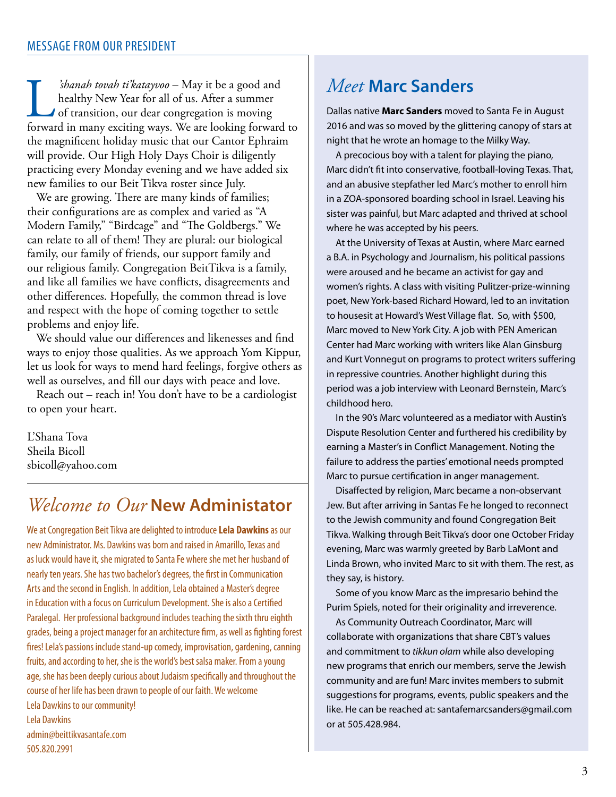*shanah tovah ti'katayvoo* – May it be a good and<br>healthy New Year for all of us. After a summer<br>of transition, our dear congregation is moving<br>forward in many exciting ways. We are looking forward healthy New Year for all of us. After a summer of transition, our dear congregation is moving forward in many exciting ways. We are looking forward to the magnificent holiday music that our Cantor Ephraim will provide. Our High Holy Days Choir is diligently practicing every Monday evening and we have added six new families to our Beit Tikva roster since July.

We are growing. There are many kinds of families; their configurations are as complex and varied as "A Modern Family," "Birdcage" and "The Goldbergs." We can relate to all of them! They are plural: our biological family, our family of friends, our support family and our religious family. Congregation BeitTikva is a family, and like all families we have conflicts, disagreements and other differences. Hopefully, the common thread is love and respect with the hope of coming together to settle problems and enjoy life.

We should value our differences and likenesses and find ways to enjoy those qualities. As we approach Yom Kippur, let us look for ways to mend hard feelings, forgive others as well as ourselves, and fill our days with peace and love.

Reach out – reach in! You don't have to be a cardiologist to open your heart.

L'Shana Tova Sheila Bicoll sbicoll@yahoo.com

## *Welcome to Our* **New Administator**

We at Congregation Beit Tikva are delighted to introduce **Lela Dawkins** as our new Administrator. Ms. Dawkins was born and raised in Amarillo, Texas and as luck would have it, she migrated to Santa Fe where she met her husband of nearly ten years. She has two bachelor's degrees, the first in Communication Arts and the second in English. In addition, Lela obtained a Master's degree in Education with a focus on Curriculum Development. She is also a Certified Paralegal. Her professional background includes teaching the sixth thru eighth grades, being a project manager for an architecture firm, as well as fighting forest fires! Lela's passions include stand-up comedy, improvisation, gardening, canning fruits, and according to her, she is the world's best salsa maker. From a young age, she has been deeply curious about Judaism specifically and throughout the course of her life has been drawn to people of our faith. We welcome Lela Dawkins to our community! Lela Dawkins

admin@beittikvasantafe.com 505.820.2991

### *Meet* **Marc Sanders**

Dallas native **Marc Sanders** moved to Santa Fe in August 2016 and was so moved by the glittering canopy of stars at night that he wrote an homage to the Milky Way.

A precocious boy with a talent for playing the piano, Marc didn't fit into conservative, football-loving Texas. That, and an abusive stepfather led Marc's mother to enroll him in a ZOA-sponsored boarding school in Israel. Leaving his sister was painful, but Marc adapted and thrived at school where he was accepted by his peers.

At the University of Texas at Austin, where Marc earned a B.A. in Psychology and Journalism, his political passions were aroused and he became an activist for gay and women's rights. A class with visiting Pulitzer-prize-winning poet, New York-based Richard Howard, led to an invitation to housesit at Howard's West Village flat. So, with \$500, Marc moved to New York City. A job with PEN American Center had Marc working with writers like Alan Ginsburg and Kurt Vonnegut on programs to protect writers suffering in repressive countries. Another highlight during this period was a job interview with Leonard Bernstein, Marc's childhood hero.

In the 90's Marc volunteered as a mediator with Austin's Dispute Resolution Center and furthered his credibility by earning a Master's in Conflict Management. Noting the failure to address the parties' emotional needs prompted Marc to pursue certification in anger management.

Disaffected by religion, Marc became a non-observant Jew. But after arriving in Santas Fe he longed to reconnect to the Jewish community and found Congregation Beit Tikva. Walking through Beit Tikva's door one October Friday evening, Marc was warmly greeted by Barb LaMont and Linda Brown, who invited Marc to sit with them. The rest, as they say, is history.

Some of you know Marc as the impresario behind the Purim Spiels, noted for their originality and irreverence.

As Community Outreach Coordinator, Marc will collaborate with organizations that share CBT's values and commitment to *tikkun olam* while also developing new programs that enrich our members, serve the Jewish community and are fun! Marc invites members to submit suggestions for programs, events, public speakers and the like. He can be reached at: santafemarcsanders@gmail.com or at 505.428.984.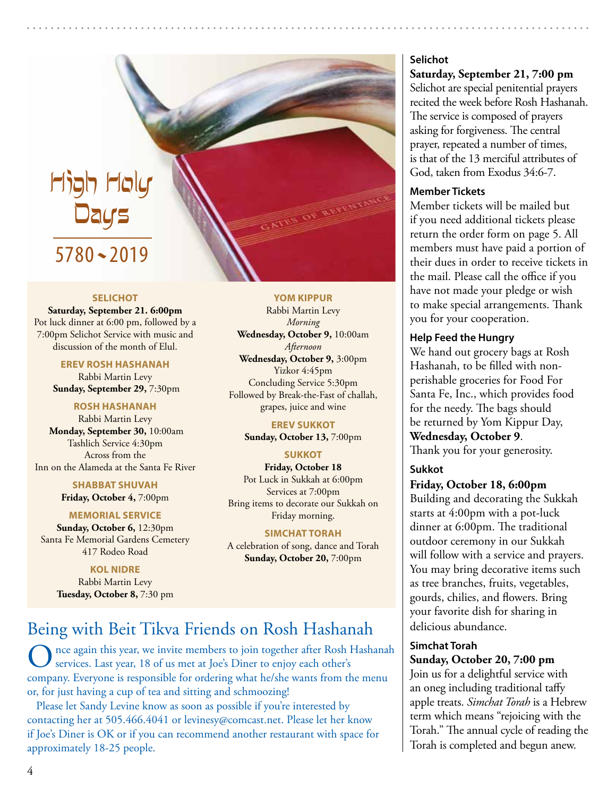# High Holy Days 5780~2019

#### **Selichot**

**Saturday, September 21. 6:00pm** Pot luck dinner at 6:00 pm, followed by a 7:00pm Selichot Service with music and discussion of the month of Elul.

> **EREV ROSH HASHANAH** Rabbi Martin Levy **Sunday, September 29,** 7:30pm

### **ROSH HASHANAH**

Rabbi Martin Levy **Monday, September 30,** 10:00am Tashlich Service 4:30pm Across from the Inn on the Alameda at the Santa Fe River

> **SHABBAT SHUVAH Friday, October 4,** 7:00pm

**MEMORIAL SERVICE**

**Sunday, October 6,** 12:30pm Santa Fe Memorial Gardens Cemetery 417 Rodeo Road

**KOL NIDRE** Rabbi Martin Levy **Tuesday, October 8,** 7:30 pm

#### **YOM KIPPUR**

Rabbi Martin Levy *Morning* **Wednesday, October 9,** 10:00am *Afternoon* **Wednesday, October 9,** 3:00pm Yizkor 4:45pm Concluding Service 5:30pm Followed by Break-the-Fast of challah, grapes, juice and wine

> **EREV SUKKOT Sunday, October 13,** 7:00pm

### **SUKKOT**

**Friday, October 18**  Pot Luck in Sukkah at 6:00pm Services at 7:00pm Bring items to decorate our Sukkah on Friday morning.

### **SIMCHAT TORAH**

A celebration of song, dance and Torah **Sunday, October 20,** 7:00pm

### Being with Beit Tikva Friends on Rosh Hashanah

nce again this year, we invite members to join together after Rosh Hashanah services. Last year, 18 of us met at Joe's Diner to enjoy each other's company. Everyone is responsible for ordering what he/she wants from the menu or, for just having a cup of tea and sitting and schmoozing!

Please let Sandy Levine know as soon as possible if you're interested by contacting her at 505.466.4041 or levinesy@comcast.net. Please let her know if Joe's Diner is OK or if you can recommend another restaurant with space for approximately 18-25 people.

### **Selichot**

**Saturday, September 21, 7:00 pm** Selichot are special penitential prayers recited the week before Rosh Hashanah. The service is composed of prayers asking for forgiveness. The central prayer, repeated a number of times, is that of the 13 merciful attributes of God, taken from Exodus 34:6-7.

### **Member Tickets**

Member tickets will be mailed but if you need additional tickets please return the order form on page 5. All members must have paid a portion of their dues in order to receive tickets in the mail. Please call the office if you have not made your pledge or wish to make special arrangements. Thank you for your cooperation.

### **Help Feed the Hungry**

We hand out grocery bags at Rosh Hashanah, to be filled with nonperishable groceries for Food For Santa Fe, Inc., which provides food for the needy. The bags should be returned by Yom Kippur Day, **Wednesday, October 9**. Thank you for your generosity.

### **Sukkot**

### **Friday, October 18, 6:00pm**

Building and decorating the Sukkah starts at 4:00pm with a pot-luck dinner at 6:00pm. The traditional outdoor ceremony in our Sukkah will follow with a service and prayers. You may bring decorative items such as tree branches, fruits, vegetables, gourds, chilies, and flowers. Bring your favorite dish for sharing in delicious abundance.

### **Simchat Torah**

**Sunday, October 20, 7:00 pm** Join us for a delightful service with an oneg including traditional taffy apple treats. *Simchat Torah* is a Hebrew term which means "rejoicing with the Torah." The annual cycle of reading the Torah is completed and begun anew.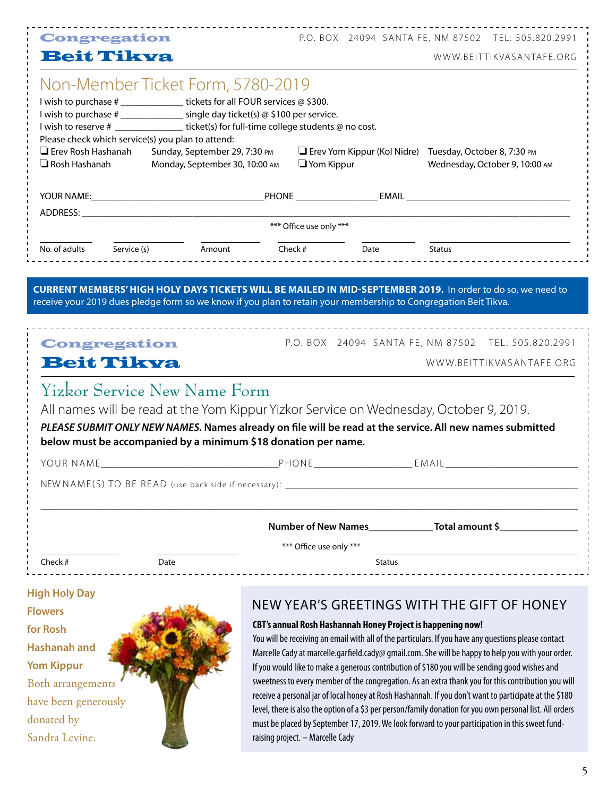|                                                   | <b>Congregation</b>                                                                                                                                                                                                                                                                              |                                                                 |  |                         |                                                             | P.O. BOX 24094 SANTA FE, NM 87502 TEL: 505.820.2991                                                                                                                                                |
|---------------------------------------------------|--------------------------------------------------------------------------------------------------------------------------------------------------------------------------------------------------------------------------------------------------------------------------------------------------|-----------------------------------------------------------------|--|-------------------------|-------------------------------------------------------------|----------------------------------------------------------------------------------------------------------------------------------------------------------------------------------------------------|
| <b>Beit Tikva</b>                                 |                                                                                                                                                                                                                                                                                                  |                                                                 |  |                         |                                                             | WWW.BEITTIKVASANTAFE.ORG                                                                                                                                                                           |
|                                                   | Non-Member Ticket Form, 5780-2019<br>I wish to purchase # ________________ tickets for all FOUR services @ \$300.<br>I wish to purchase # _______________ single day ticket(s) @ \$100 per service.<br>I wish to reserve # _________________ ticket(s) for full-time college students @ no cost. |                                                                 |  |                         |                                                             |                                                                                                                                                                                                    |
| $\Box$ Erev Rosh Hashanah<br>$\Box$ Rosh Hashanah | Please check which service(s) you plan to attend:                                                                                                                                                                                                                                                | Sunday, September 29, 7:30 PM<br>Monday, September 30, 10:00 AM |  | $\Box$ Yom Kippur       |                                                             | Erev Yom Kippur (Kol Nidre) Tuesday, October 8, 7:30 PM<br>Wednesday, October 9, 10:00 AM                                                                                                          |
|                                                   |                                                                                                                                                                                                                                                                                                  |                                                                 |  |                         |                                                             |                                                                                                                                                                                                    |
|                                                   |                                                                                                                                                                                                                                                                                                  |                                                                 |  |                         |                                                             |                                                                                                                                                                                                    |
|                                                   |                                                                                                                                                                                                                                                                                                  |                                                                 |  | *** Office use only *** |                                                             |                                                                                                                                                                                                    |
|                                                   | No. of adults Service (s) Amount Check # Date Status                                                                                                                                                                                                                                             |                                                                 |  |                         |                                                             |                                                                                                                                                                                                    |
|                                                   | Yizkor Service New Name Form                                                                                                                                                                                                                                                                     |                                                                 |  |                         |                                                             | All names will be read at the Yom Kippur Yizkor Service on Wednesday, October 9, 2019.<br>PLEASE SUBMIT ONLY NEW NAMES. Names already on file will be read at the service. All new names submitted |
|                                                   | below must be accompanied by a minimum \$18 donation per name.                                                                                                                                                                                                                                   |                                                                 |  |                         |                                                             |                                                                                                                                                                                                    |
|                                                   |                                                                                                                                                                                                                                                                                                  |                                                                 |  |                         |                                                             |                                                                                                                                                                                                    |
|                                                   |                                                                                                                                                                                                                                                                                                  |                                                                 |  |                         |                                                             |                                                                                                                                                                                                    |
|                                                   |                                                                                                                                                                                                                                                                                                  |                                                                 |  |                         |                                                             |                                                                                                                                                                                                    |
|                                                   |                                                                                                                                                                                                                                                                                                  |                                                                 |  | *** Office use only *** |                                                             |                                                                                                                                                                                                    |
| Check #                                           | Date                                                                                                                                                                                                                                                                                             |                                                                 |  |                         | <b>Status</b>                                               |                                                                                                                                                                                                    |
| <b>High Holy Day</b>                              |                                                                                                                                                                                                                                                                                                  |                                                                 |  |                         |                                                             |                                                                                                                                                                                                    |
| <b>Flowers</b>                                    |                                                                                                                                                                                                                                                                                                  |                                                                 |  |                         |                                                             | NEW YEAR'S GREETINGS WITH THE GIFT OF HONEY                                                                                                                                                        |
| for Rosh                                          |                                                                                                                                                                                                                                                                                                  |                                                                 |  |                         | CBT's annual Rosh Hashannah Honey Project is happening now! |                                                                                                                                                                                                    |

**Hashanah and Yom Kippur**

donated by Sandra Levine.

Both arrangements have been generously

You will be receiving an email with all of the particulars. If you have any questions please contact Marcelle Cady at marcelle.garfield.cady@ gmail.com. She will be happy to help you with your order. If you would like to make a generous contribution of \$180 you will be sending good wishes and sweetness to every member of the congregation. As an extra thank you for this contribution you will receive a personal jar of local honey at Rosh Hashannah. If you don't want to participate at the \$180 level, there is also the option of a \$3 per person/family donation for you own personal list. All orders must be placed by September 17, 2019. We look forward to your participation in this sweet fundraising project. – Marcelle Cady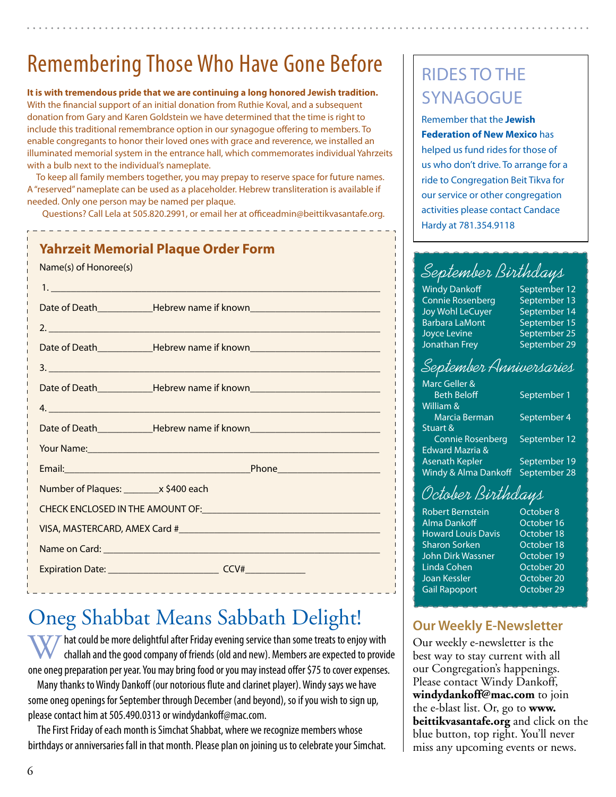# Remembering Those Who Have Gone Before

**It is with tremendous pride that we are continuing a long honored Jewish tradition.** With the financial support of an initial donation from Ruthie Koval, and a subsequent donation from Gary and Karen Goldstein we have determined that the time is right to include this traditional remembrance option in our synagogue offering to members. To enable congregants to honor their loved ones with grace and reverence, we installed an illuminated memorial system in the entrance hall, which commemorates individual Yahrzeits with a bulb next to the individual's nameplate.

To keep all family members together, you may prepay to reserve space for future names. A "reserved" nameplate can be used as a placeholder. Hebrew transliteration is available if needed. Only one person may be named per plaque.

Questions? Call Lela at 505.820.2991, or email her at officeadmin@beittikvasantafe.org.

| Name(s) of Honoree(s)                                                               | <b>Yahrzeit Memorial Plaque Order Form</b>                                                                                                                                                                                     |  |  |  |  |  |
|-------------------------------------------------------------------------------------|--------------------------------------------------------------------------------------------------------------------------------------------------------------------------------------------------------------------------------|--|--|--|--|--|
|                                                                                     |                                                                                                                                                                                                                                |  |  |  |  |  |
|                                                                                     | Date of Death______________Hebrew name if known_________________________________                                                                                                                                               |  |  |  |  |  |
|                                                                                     | 2.                                                                                                                                                                                                                             |  |  |  |  |  |
|                                                                                     | Date of Death_______________Hebrew name if known________________________________                                                                                                                                               |  |  |  |  |  |
|                                                                                     | $\frac{1}{2}$                                                                                                                                                                                                                  |  |  |  |  |  |
|                                                                                     | Date of Death______________Hebrew name if known_________________________________                                                                                                                                               |  |  |  |  |  |
|                                                                                     |                                                                                                                                                                                                                                |  |  |  |  |  |
|                                                                                     | Date of Death_______________Hebrew name if known________________________________                                                                                                                                               |  |  |  |  |  |
|                                                                                     | Your Name: Note that the contract of the contract of the contract of the contract of the contract of the contract of the contract of the contract of the contract of the contract of the contract of the contract of the contr |  |  |  |  |  |
|                                                                                     |                                                                                                                                                                                                                                |  |  |  |  |  |
| Number of Plaques: ________ x \$400 each                                            |                                                                                                                                                                                                                                |  |  |  |  |  |
| CHECK ENCLOSED IN THE AMOUNT OF: University of the CHECK ENCLOSED IN THE AMOUNT OF: |                                                                                                                                                                                                                                |  |  |  |  |  |
|                                                                                     |                                                                                                                                                                                                                                |  |  |  |  |  |
|                                                                                     |                                                                                                                                                                                                                                |  |  |  |  |  |
|                                                                                     |                                                                                                                                                                                                                                |  |  |  |  |  |
|                                                                                     |                                                                                                                                                                                                                                |  |  |  |  |  |

## Oneg Shabbat Means Sabbath Delight!

hat could be more delightful after Friday evening service than some treats to enjoy with challah and the good company of friends (old and new). Members are expected to provide one oneg preparation per year. You may bring food or you may instead offer \$75 to cover expenses.

Many thanks to Windy Dankoff (our notorious flute and clarinet player). Windy says we have some oneg openings for September through December (and beyond), so if you wish to sign up, please contact him at 505.490.0313 or windydankoff@mac.com.

The First Friday of each month is Simchat Shabbat, where we recognize members whose birthdays or anniversaries fall in that month. Please plan on joining us to celebrate your Simchat.

## Rides to the **SYNAGOGUE**

Remember that the **Jewish Federation of New Mexico** has helped us fund rides for those of us who don't drive. To arrange for a ride to Congregation Beit Tikva for our service or other congregation activities please contact Candace Hardy at 781.354.9118

## September Birthdays

Windy Dankoff September 12 Connie Rosenberg September 13 Joy Wohl LeCuyer September 14 Barbara LaMont September 15 Joyce Levine September 25 Jonathan Frey September 29

### September Anniversaries

| Marc Geller &                   |              |
|---------------------------------|--------------|
| <b>Beth Beloff</b>              | September 1  |
| William &                       |              |
| Marcia Berman                   | September 4  |
| Stuart &                        |              |
| <b>Connie Rosenberg</b>         | September 12 |
| Edward Mazria &                 |              |
| <b>Asenath Kepler</b>           | September 19 |
| <b>Windy &amp; Alma Dankoff</b> | September 28 |
|                                 |              |

## October Birthdays

Robert Bernstein **October 8** Alma Dankoff **Canada Contract October 16** Howard Louis Davis October 18 Sharon Sorken **October 18** John Dirk Wassner October 19 Linda Cohen **Company** October 20 Joan Kessler **October 20** Gail Rapoport **October 29** 

### **Our Weekly E-Newsletter**

Our weekly e-newsletter is the best way to stay current with all our Congregation's happenings. Please contact Windy Dankoff, **windydankoff@mac.com** to join the e-blast list. Or, go to **www. beittikvasantafe.org** and click on the blue button, top right. You'll never miss any upcoming events or news.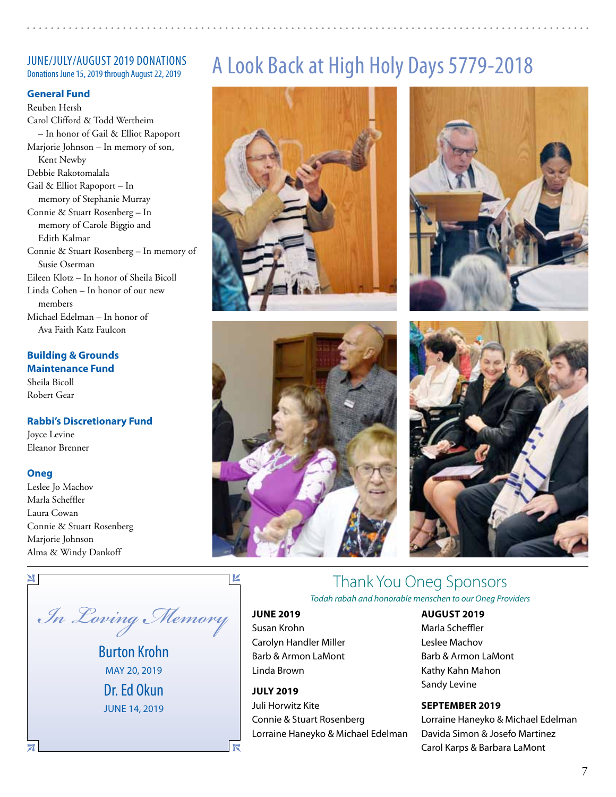## JUNE/JULY/AUGUST 2019 DONATIONS<br>Donations June 15, 2019 through August 22, 2019

### **General Fund**

Reuben Hersh Carol Clifford & Todd Wertheim – In honor of Gail & Elliot Rapoport Marjorie Johnson – In memory of son, Kent Newby Debbie Rakotomalala Gail & Elliot Rapoport – In memory of Stephanie Murray Connie & Stuart Rosenberg – In memory of Carole Biggio and Edith Kalmar Connie & Stuart Rosenberg – In memory of Susie Oserman Eileen Klotz – In honor of Sheila Bicoll Linda Cohen – In honor of our new members Michael Edelman – In honor of Ava Faith Katz Faulcon

### **Building & Grounds Maintenance Fund**

Sheila Bicoll Robert Gear

### **Rabbi's Discretionary Fund**

Joyce Levine Eleanor Brenner

### **Oneg**

 $\blacksquare$ 

 $\overline{\mathbf{A}}$ 

Leslee Jo Machov Marla Scheffler Laura Cowan Connie & Stuart Rosenberg Marjorie Johnson Alma & Windy Dankoff

*In Loving Memory*

Burton Krohn may 20, 2019 Dr. Ed Okun June 14, 2019

## A Look Back at High Holy Days 5779-2018









### Thank You Oneg Sponsors *Todah rabah and honorable menschen to our Oneg Providers*

### **June 2019**

K

### Susan Krohn Carolyn Handler Miller Barb & Armon LaMont Linda Brown

**July 2019** Juli Horwitz Kite Connie & Stuart Rosenberg Lorraine Haneyko & Michael Edelman

### **August 2019**

Marla Scheffler Leslee Machov Barb & Armon LaMont Kathy Kahn Mahon Sandy Levine

### **September 2019**

Lorraine Haneyko & Michael Edelman Davida Simon & Josefo Martinez Carol Karps & Barbara LaMont